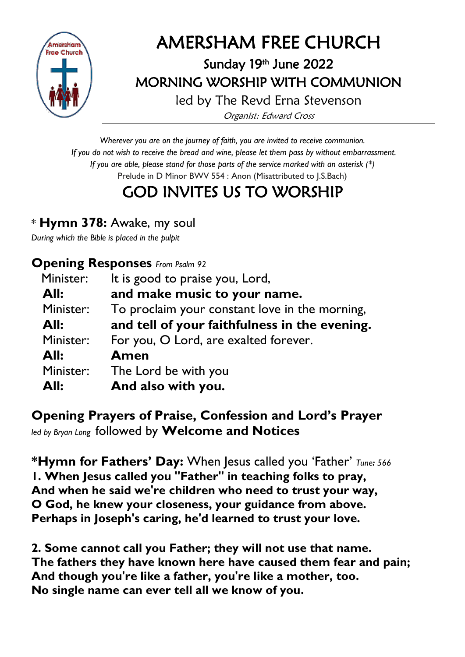

# AMERSHAM FREE CHURCH

# Sunday 19 th June 2022 MORNING WORSHIP WITH COMMUNION

led by The Revd Erna Stevenson Organist: Edward Cross

*Wherever you are on the journey of faith, you are invited to receive communion. If you do not wish to receive the bread and wine, please let them pass by without embarrassment. If you are able, please stand for those parts of the service marked with an asterisk (\*)* Prelude in D Minor BWV 554 : Anon (Misattributed to J.S.Bach)

# GOD INVITES US TO WORSHIP

## \* **Hymn 378:** Awake, my soul

*During which the Bible is placed in the pulpit*

### **Opening Responses** *From Psalm 92*

| Minister: | It is good to praise you, Lord,                |
|-----------|------------------------------------------------|
| All:      | and make music to your name.                   |
| Minister: | To proclaim your constant love in the morning, |
| All:      | and tell of your faithfulness in the evening.  |
| Minister: | For you, O Lord, are exalted forever.          |
| All:      | Amen                                           |
| Minister: | The Lord be with you                           |
| All:      | And also with you.                             |

## **Opening Prayers of Praise, Confession and Lord's Prayer** *led by Bryan Long* followed by **Welcome and Notices**

**\*Hymn for Fathers' Day:** When Jesus called you 'Father' *Tune: <sup>566</sup>* **1. When Jesus called you "Father" in teaching folks to pray, And when he said we're children who need to trust your way, O God, he knew your closeness, your guidance from above. Perhaps in Joseph's caring, he'd learned to trust your love.**

**2. Some cannot call you Father; they will not use that name. The fathers they have known here have caused them fear and pain; And though you're like a father, you're like a mother, too. No single name can ever tell all we know of you.**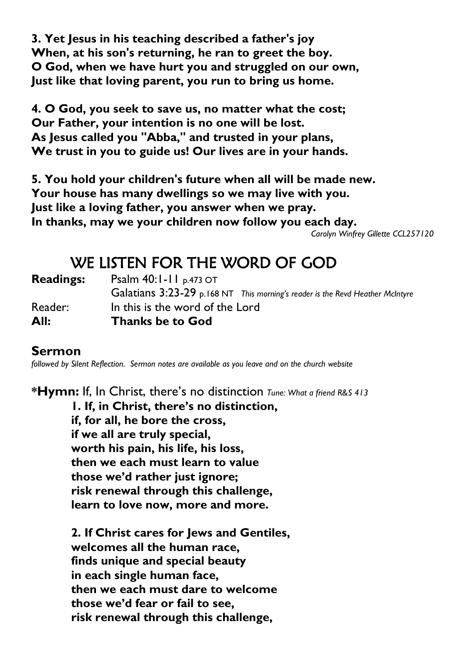**3. Yet Jesus in his teaching described a father's joy When, at his son's returning, he ran to greet the boy. O God, when we have hurt you and struggled on our own, Just like that loving parent, you run to bring us home.**

**4. O God, you seek to save us, no matter what the cost; Our Father, your intention is no one will be lost. As Jesus called you "Abba," and trusted in your plans, We trust in you to guide us! Our lives are in your hands.**

**5. You hold your children's future when all will be made new. Your house has many dwellings so we may live with you. Just like a loving father, you answer when we pray. In thanks, may we your children now follow you each day.** *Carolyn Winfrey Gillette CCL257120*

# WE LISTEN FOR THE WORD OF GOD

| <b>Readings:</b> | <b>Psalm 40:1-11</b> p.473 OT<br>Galatians 3:23-29 p.168 NT This morning's reader is the Revd Heather McIntyre |  |
|------------------|----------------------------------------------------------------------------------------------------------------|--|
| Reader:<br>All:  | In this is the word of the Lord<br><b>Thanks be to God</b>                                                     |  |

#### **Sermon**

*followed by Silent Reflection. Sermon notes are available as you leave and on the church website*

**\*Hymn:** If, In Christ, there's no distinction *Tune: What a friend R&S 413*

**1. If, in Christ, there's no distinction, if, for all, he bore the cross, if we all are truly special, worth his pain, his life, his loss, then we each must learn to value those we'd rather just ignore; risk renewal through this challenge, learn to love now, more and more.**

**2. If Christ cares for Jews and Gentiles, welcomes all the human race, finds unique and special beauty in each single human face, then we each must dare to welcome those we'd fear or fail to see, risk renewal through this challenge,**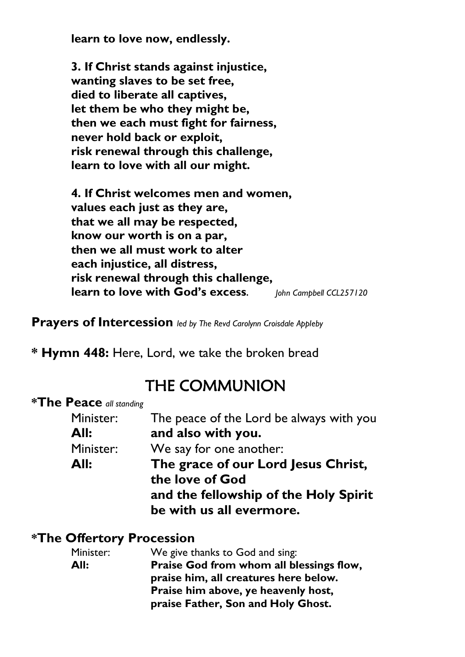**learn to love now, endlessly.**

**3. If Christ stands against injustice, wanting slaves to be set free, died to liberate all captives, let them be who they might be, then we each must fight for fairness, never hold back or exploit, risk renewal through this challenge, learn to love with all our might.**

**4. If Christ welcomes men and women, values each just as they are, that we all may be respected, know our worth is on a par, then we all must work to alter each injustice, all distress, risk renewal through this challenge, learn to love with God's excess***. John Campbell CCL257120*

**Prayers of Intercession** *led by The Revd Carolynn Croisdale Appleby*

**\* Hymn 448:** Here, Lord, we take the broken bread

# THE COMMUNION

#### **\*The Peace** *all standing*

| Minister: | The peace of the Lord be always with you |
|-----------|------------------------------------------|
| All:      | and also with you.                       |
| Minister: | We say for one another:                  |
| All:      | The grace of our Lord Jesus Christ,      |
|           | the love of God                          |
|           | and the fellowship of the Holy Spirit    |
|           | be with us all evermore.                 |

#### **\*The Offertory Procession**

| Minister: | We give thanks to God and sing:          |
|-----------|------------------------------------------|
| All:      | Praise God from whom all blessings flow, |
|           | praise him, all creatures here below.    |
|           | Praise him above, ye heavenly host,      |
|           | praise Father, Son and Holy Ghost.       |